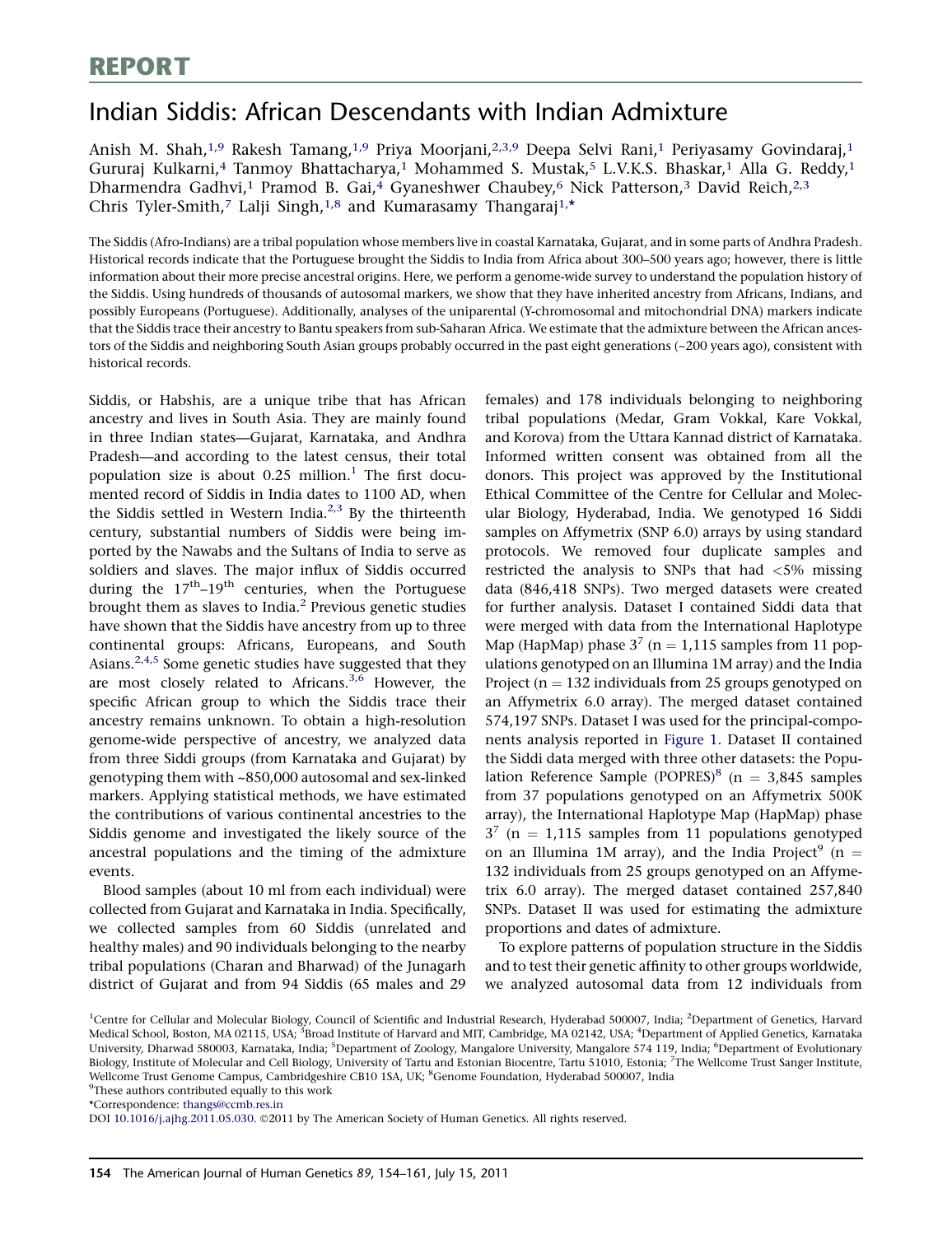# Indian Siddis: African Descendants with Indian Admixture

Anish M. Shah,<sup>1,9</sup> Rakesh Tamang,<sup>1,9</sup> Priya Moorjani,<sup>2,3,9</sup> Deepa Selvi Rani,<sup>1</sup> Periyasamy Govindaraj,<sup>1</sup> Gururaj Kulkarni,<sup>4</sup> Tanmoy Bhattacharya,<sup>1</sup> Mohammed S. Mustak,<sup>5</sup> L.V.K.S. Bhaskar,<sup>1</sup> Alla G. Reddy,<sup>1</sup> Dharmendra Gadhvi,<sup>1</sup> Pramod B. Gai,<sup>4</sup> Gyaneshwer Chaubey,<sup>6</sup> Nick Patterson,<sup>3</sup> David Reich,<sup>2,3</sup> Chris Tyler-Smith,<sup>7</sup> Lalji Singh,<sup>1,8</sup> and Kumarasamy Thangaraj<sup>1,\*</sup>

The Siddis (Afro-Indians) are a tribal population whose members live in coastal Karnataka, Gujarat, and in some parts of Andhra Pradesh. Historical records indicate that the Portuguese brought the Siddis to India from Africa about 300–500 years ago; however, there is little information about their more precise ancestral origins. Here, we perform a genome-wide survey to understand the population history of the Siddis. Using hundreds of thousands of autosomal markers, we show that they have inherited ancestry from Africans, Indians, and possibly Europeans (Portuguese). Additionally, analyses of the uniparental (Y-chromosomal and mitochondrial DNA) markers indicate that the Siddis trace their ancestry to Bantu speakers from sub-Saharan Africa. We estimate that the admixture between the African ancestors of the Siddis and neighboring South Asian groups probably occurred in the past eight generations (~200 years ago), consistent with historical records.

Siddis, or Habshis, are a unique tribe that has African ancestry and lives in South Asia. They are mainly found in three Indian states—Gujarat, Karnataka, and Andhra Pradesh—and according to the latest census, their total population size is about  $0.25$  million.<sup>1</sup> The first documented record of Siddis in India dates to 1100 AD, when the Siddis settled in Western India. $^{2,3}$  By the thirteenth century, substantial numbers of Siddis were being imported by the Nawabs and the Sultans of India to serve as soldiers and slaves. The major influx of Siddis occurred during the  $17<sup>th</sup>-19<sup>th</sup>$  centuries, when the Portuguese brought them as slaves to India.<sup>2</sup> Previous genetic studies have shown that the Siddis have ancestry from up to three continental groups: Africans, Europeans, and South Asians. $2,4,5$  Some genetic studies have suggested that they are most closely related to Africans.<sup>3,6</sup> However, the specific African group to which the Siddis trace their ancestry remains unknown. To obtain a high-resolution genome-wide perspective of ancestry, we analyzed data from three Siddi groups (from Karnataka and Gujarat) by genotyping them with ~850,000 autosomal and sex-linked markers. Applying statistical methods, we have estimated the contributions of various continental ancestries to the Siddis genome and investigated the likely source of the ancestral populations and the timing of the admixture events.

Blood samples (about 10 ml from each individual) were collected from Gujarat and Karnataka in India. Specifically, we collected samples from 60 Siddis (unrelated and healthy males) and 90 individuals belonging to the nearby tribal populations (Charan and Bharwad) of the Junagarh district of Gujarat and from 94 Siddis (65 males and 29 females) and 178 individuals belonging to neighboring tribal populations (Medar, Gram Vokkal, Kare Vokkal, and Korova) from the Uttara Kannad district of Karnataka. Informed written consent was obtained from all the donors. This project was approved by the Institutional Ethical Committee of the Centre for Cellular and Molecular Biology, Hyderabad, India. We genotyped 16 Siddi samples on Affymetrix (SNP 6.0) arrays by using standard protocols. We removed four duplicate samples and restricted the analysis to SNPs that had <5% missing data (846,418 SNPs). Two merged datasets were created for further analysis. Dataset I contained Siddi data that were merged with data from the International Haplotype Map (HapMap) phase  $3^7$  (n = 1,115 samples from 11 populations genotyped on an Illumina 1M array) and the India Project ( $n = 132$  individuals from 25 groups genotyped on an Affymetrix 6.0 array). The merged dataset contained 574,197 SNPs. Dataset I was used for the principal-components analysis reported in Figure 1. Dataset II contained the Siddi data merged with three other datasets: the Population Reference Sample (POPRES)<sup>8</sup> ( $n = 3,845$  samples from 37 populations genotyped on an Affymetrix 500K array), the International Haplotype Map (HapMap) phase  $3^7$  (n = 1,115 samples from 11 populations genotyped on an Illumina 1M array), and the India Project $^9$  (n = 132 individuals from 25 groups genotyped on an Affymetrix 6.0 array). The merged dataset contained 257,840 SNPs. Dataset II was used for estimating the admixture proportions and dates of admixture.

To explore patterns of population structure in the Siddis and to test their genetic affinity to other groups worldwide, we analyzed autosomal data from 12 individuals from

<sup>9</sup>These authors contributed equally to this work

\*Correspondence: thangs@ccmb.res.in

DOI 10.1016/j.ajhg.2011.05.030. ©2011 by The American Society of Human Genetics. All rights reserved.

<sup>&</sup>lt;sup>1</sup>Centre for Cellular and Molecular Biology, Council of Scientific and Industrial Research, Hyderabad 500007, India; <sup>2</sup>Department of Genetics, Harvard Medical School, Boston, MA 02115, USA; <sup>3</sup>Broad Institute of Harvard and MIT, Cambridge, MA 02142, USA; <sup>4</sup>Department of Applied Genetics, Karnataka University, Dharwad 580003, Karnataka, India; <sup>5</sup>Department of Zoology, Mangalore University, Mangalore 574 119, India; <sup>6</sup>Department of Evolutionary Biology, Institute of Molecular and Cell Biology, University of Tartu and Estonian Biocentre, Tartu 51010, Estonia; <sup>7</sup>The Wellcome Trust Sanger Institute, Wellcome Trust Genome Campus, Cambridgeshire CB10 1SA, UK; <sup>8</sup>Genome Foundation, Hyderabad 500007, India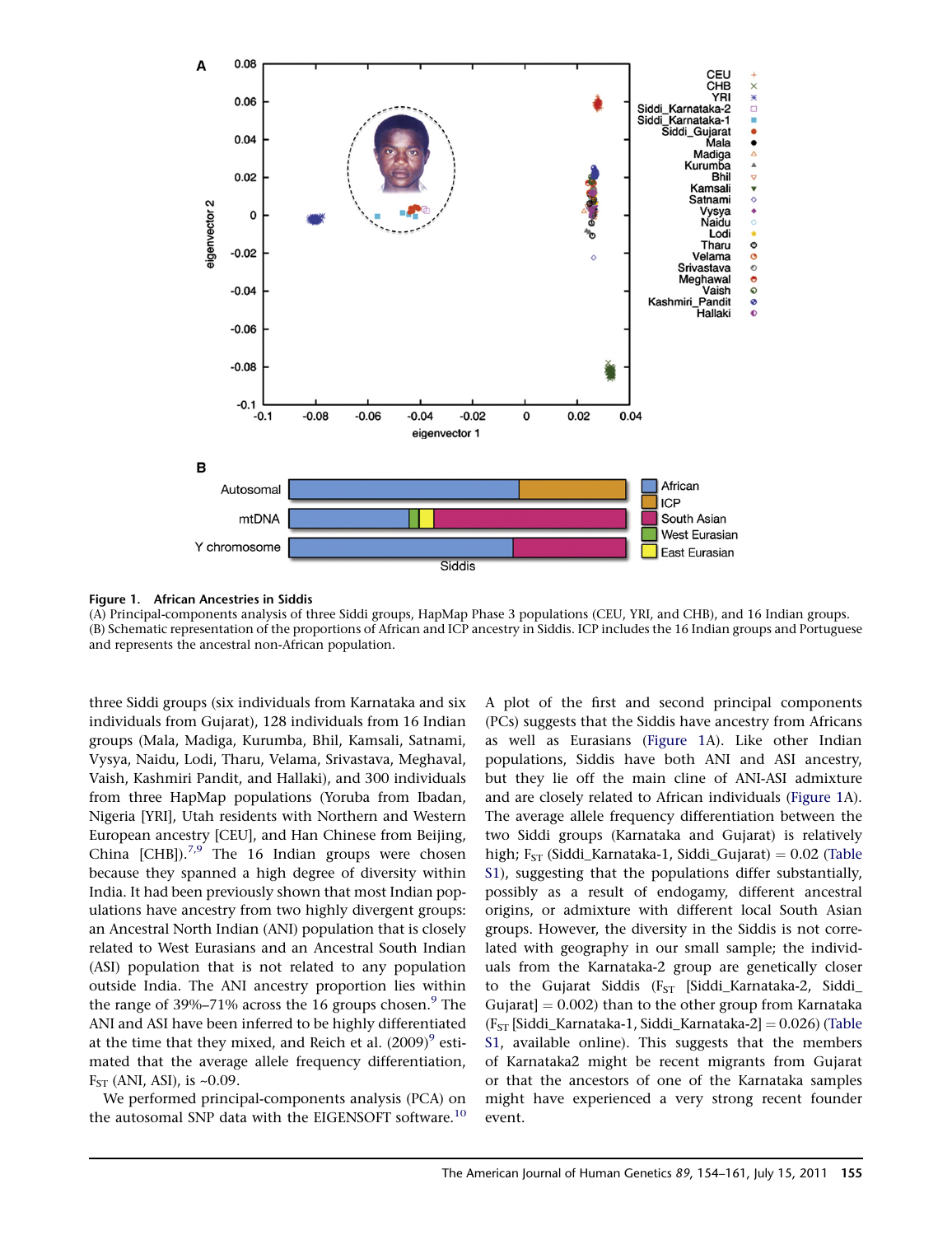

Figure 1. African Ancestries in Siddis

(A) Principal-components analysis of three Siddi groups, HapMap Phase 3 populations (CEU, YRI, and CHB), and 16 Indian groups. (B) Schematic representation of the proportions of African and ICP ancestry in Siddis. ICP includes the 16 Indian groups and Portuguese and represents the ancestral non-African population.

three Siddi groups (six individuals from Karnataka and six individuals from Gujarat), 128 individuals from 16 Indian groups (Mala, Madiga, Kurumba, Bhil, Kamsali, Satnami, Vysya, Naidu, Lodi, Tharu, Velama, Srivastava, Meghaval, Vaish, Kashmiri Pandit, and Hallaki), and 300 individuals from three HapMap populations (Yoruba from Ibadan, Nigeria [YRI], Utah residents with Northern and Western European ancestry [CEU], and Han Chinese from Beijing, China  $[CHB]$ .<sup>7,9</sup> The 16 Indian groups were chosen because they spanned a high degree of diversity within India. It had been previously shown that most Indian populations have ancestry from two highly divergent groups: an Ancestral North Indian (ANI) population that is closely related to West Eurasians and an Ancestral South Indian (ASI) population that is not related to any population outside India. The ANI ancestry proportion lies within the range of 39%–71% across the 16 groups chosen.<sup>9</sup> The ANI and ASI have been inferred to be highly differentiated at the time that they mixed, and Reich et al.  $(2009)^9$  estimated that the average allele frequency differentiation,  $F<sub>ST</sub>$  (ANI, ASI), is ~0.09.

We performed principal-components analysis (PCA) on the autosomal SNP data with the EIGENSOFT software.<sup>10</sup> A plot of the first and second principal components (PCs) suggests that the Siddis have ancestry from Africans as well as Eurasians (Figure 1A). Like other Indian populations, Siddis have both ANI and ASI ancestry, but they lie off the main cline of ANI-ASI admixture and are closely related to African individuals (Figure 1A). The average allele frequency differentiation between the two Siddi groups (Karnataka and Gujarat) is relatively high;  $F_{ST}$  (Siddi\_Karnataka-1, Siddi\_Gujarat) = 0.02 (Table S1), suggesting that the populations differ substantially, possibly as a result of endogamy, different ancestral origins, or admixture with different local South Asian groups. However, the diversity in the Siddis is not correlated with geography in our small sample; the individuals from the Karnataka-2 group are genetically closer to the Gujarat Siddis (F<sub>ST</sub> [Siddi\_Karnataka-2, Siddi\_ Gujarat]  $= 0.002$ ) than to the other group from Karnataka  $(F<sub>ST</sub> [Siddi_Karnataka-1, Siddi_Karnataka-2] = 0.026)$  (Table S1, available online). This suggests that the members of Karnataka2 might be recent migrants from Gujarat or that the ancestors of one of the Karnataka samples might have experienced a very strong recent founder event.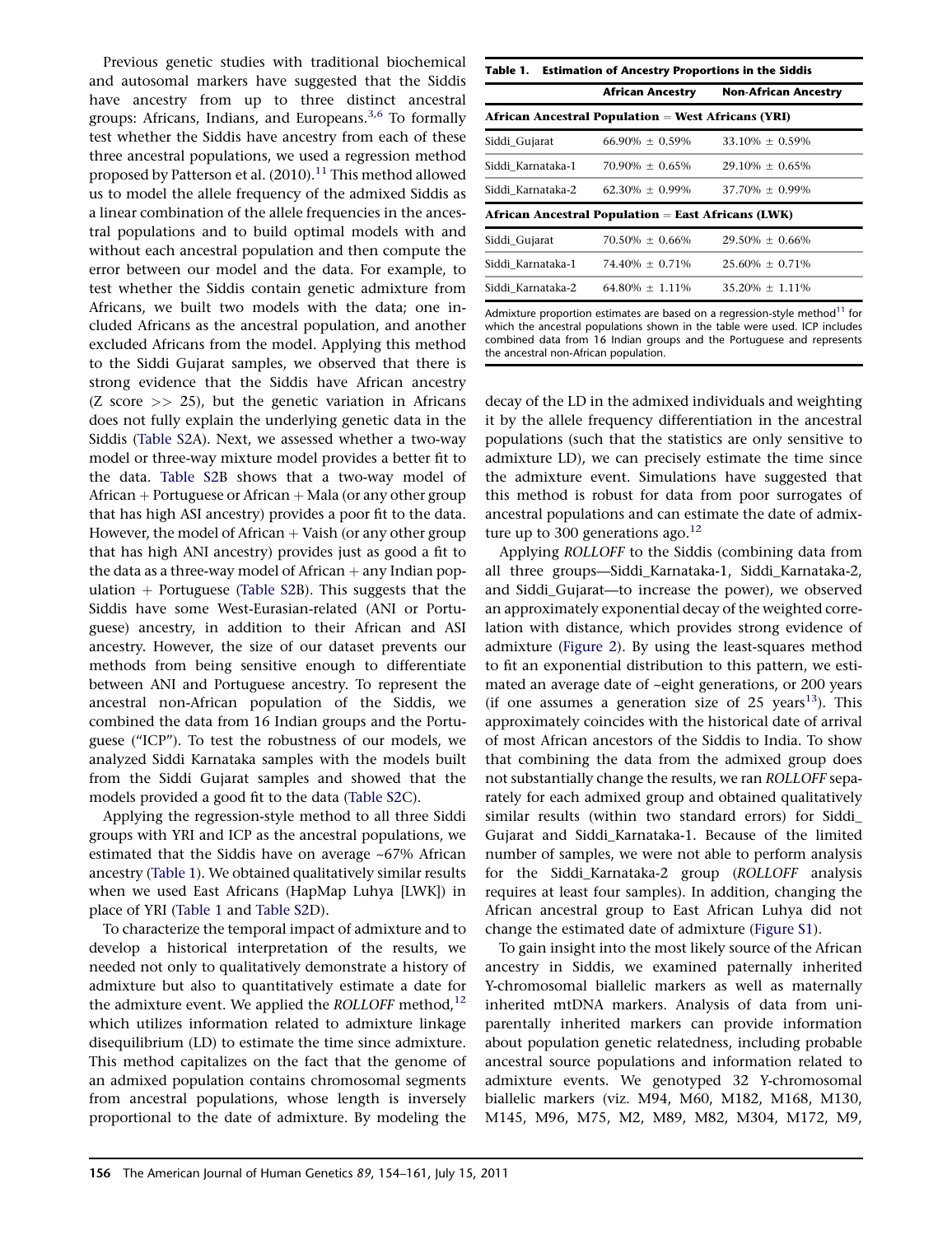Previous genetic studies with traditional biochemical and autosomal markers have suggested that the Siddis have ancestry from up to three distinct ancestral groups: Africans, Indians, and Europeans. $3,6$  To formally test whether the Siddis have ancestry from each of these three ancestral populations, we used a regression method proposed by Patterson et al.  $(2010).<sup>11</sup>$  This method allowed us to model the allele frequency of the admixed Siddis as a linear combination of the allele frequencies in the ancestral populations and to build optimal models with and without each ancestral population and then compute the error between our model and the data. For example, to test whether the Siddis contain genetic admixture from Africans, we built two models with the data; one included Africans as the ancestral population, and another excluded Africans from the model. Applying this method to the Siddi Gujarat samples, we observed that there is strong evidence that the Siddis have African ancestry (Z score  $\gg$  25), but the genetic variation in Africans does not fully explain the underlying genetic data in the Siddis (Table S2A). Next, we assessed whether a two-way model or three-way mixture model provides a better fit to the data. Table S2B shows that a two-way model of African  $+$  Portuguese or African  $+$  Mala (or any other group that has high ASI ancestry) provides a poor fit to the data. However, the model of African  $+$  Vaish (or any other group that has high ANI ancestry) provides just as good a fit to the data as a three-way model of African  $+$  any Indian population  $+$  Portuguese (Table S2B). This suggests that the Siddis have some West-Eurasian-related (ANI or Portuguese) ancestry, in addition to their African and ASI ancestry. However, the size of our dataset prevents our methods from being sensitive enough to differentiate between ANI and Portuguese ancestry. To represent the ancestral non-African population of the Siddis, we combined the data from 16 Indian groups and the Portuguese (''ICP''). To test the robustness of our models, we analyzed Siddi Karnataka samples with the models built from the Siddi Gujarat samples and showed that the models provided a good fit to the data (Table S2C).

Applying the regression-style method to all three Siddi groups with YRI and ICP as the ancestral populations, we estimated that the Siddis have on average ~67% African ancestry (Table 1). We obtained qualitatively similar results when we used East Africans (HapMap Luhya [LWK]) in place of YRI (Table 1 and Table S2D).

To characterize the temporal impact of admixture and to develop a historical interpretation of the results, we needed not only to qualitatively demonstrate a history of admixture but also to quantitatively estimate a date for the admixture event. We applied the  $ROLLOFF$  method,<sup>12</sup> which utilizes information related to admixture linkage disequilibrium (LD) to estimate the time since admixture. This method capitalizes on the fact that the genome of an admixed population contains chromosomal segments from ancestral populations, whose length is inversely proportional to the date of admixture. By modeling the

|                   | African Ancestry                                          | <b>Non-African Ancestry</b> |
|-------------------|-----------------------------------------------------------|-----------------------------|
|                   | <b>African Ancestral Population = West Africans (YRI)</b> |                             |
| Siddi_Gujarat     | $66.90\% + 0.59\%$                                        | $33.10\% + 0.59\%$          |
| Siddi Karnataka-1 | $70.90\% + 0.65\%$                                        | $29.10\% + 0.65\%$          |
| Siddi Karnataka-2 | $62.30\% + 0.99\%$                                        | $37.70\% + 0.99\%$          |
|                   | <b>African Ancestral Population = East Africans (LWK)</b> |                             |
| Siddi Gujarat     | $70.50\% + 0.66\%$                                        | $29.50\% + 0.66\%$          |
|                   | Siddi Karnataka-1 74.40% $\pm$ 0.71%                      | $25.60\% + 0.71\%$          |
| Siddi Karnataka-2 | $64.80\% + 1.11\%$                                        | $35.20\% + 1.11\%$          |

Admixture proportion estimates are based on a regression-style method $11$  for which the ancestral populations shown in the table were used. ICP includes combined data from 16 Indian groups and the Portuguese and represents the ancestral non-African population.

decay of the LD in the admixed individuals and weighting it by the allele frequency differentiation in the ancestral populations (such that the statistics are only sensitive to admixture LD), we can precisely estimate the time since the admixture event. Simulations have suggested that this method is robust for data from poor surrogates of ancestral populations and can estimate the date of admixture up to 300 generations ago. $^{12}$ 

Applying ROLLOFF to the Siddis (combining data from all three groups—Siddi\_Karnataka-1, Siddi\_Karnataka-2, and Siddi\_Gujarat—to increase the power), we observed an approximately exponential decay of the weighted correlation with distance, which provides strong evidence of admixture (Figure 2). By using the least-squares method to fit an exponential distribution to this pattern, we estimated an average date of ~eight generations, or 200 years (if one assumes a generation size of 25 years<sup>13</sup>). This approximately coincides with the historical date of arrival of most African ancestors of the Siddis to India. To show that combining the data from the admixed group does not substantially change the results, we ran ROLLOFF separately for each admixed group and obtained qualitatively similar results (within two standard errors) for Siddi\_ Gujarat and Siddi\_Karnataka-1. Because of the limited number of samples, we were not able to perform analysis for the Siddi\_Karnataka-2 group (ROLLOFF analysis requires at least four samples). In addition, changing the African ancestral group to East African Luhya did not change the estimated date of admixture (Figure S1).

To gain insight into the most likely source of the African ancestry in Siddis, we examined paternally inherited Y-chromosomal biallelic markers as well as maternally inherited mtDNA markers. Analysis of data from uniparentally inherited markers can provide information about population genetic relatedness, including probable ancestral source populations and information related to admixture events. We genotyped 32 Y-chromosomal biallelic markers (viz. M94, M60, M182, M168, M130, M145, M96, M75, M2, M89, M82, M304, M172, M9,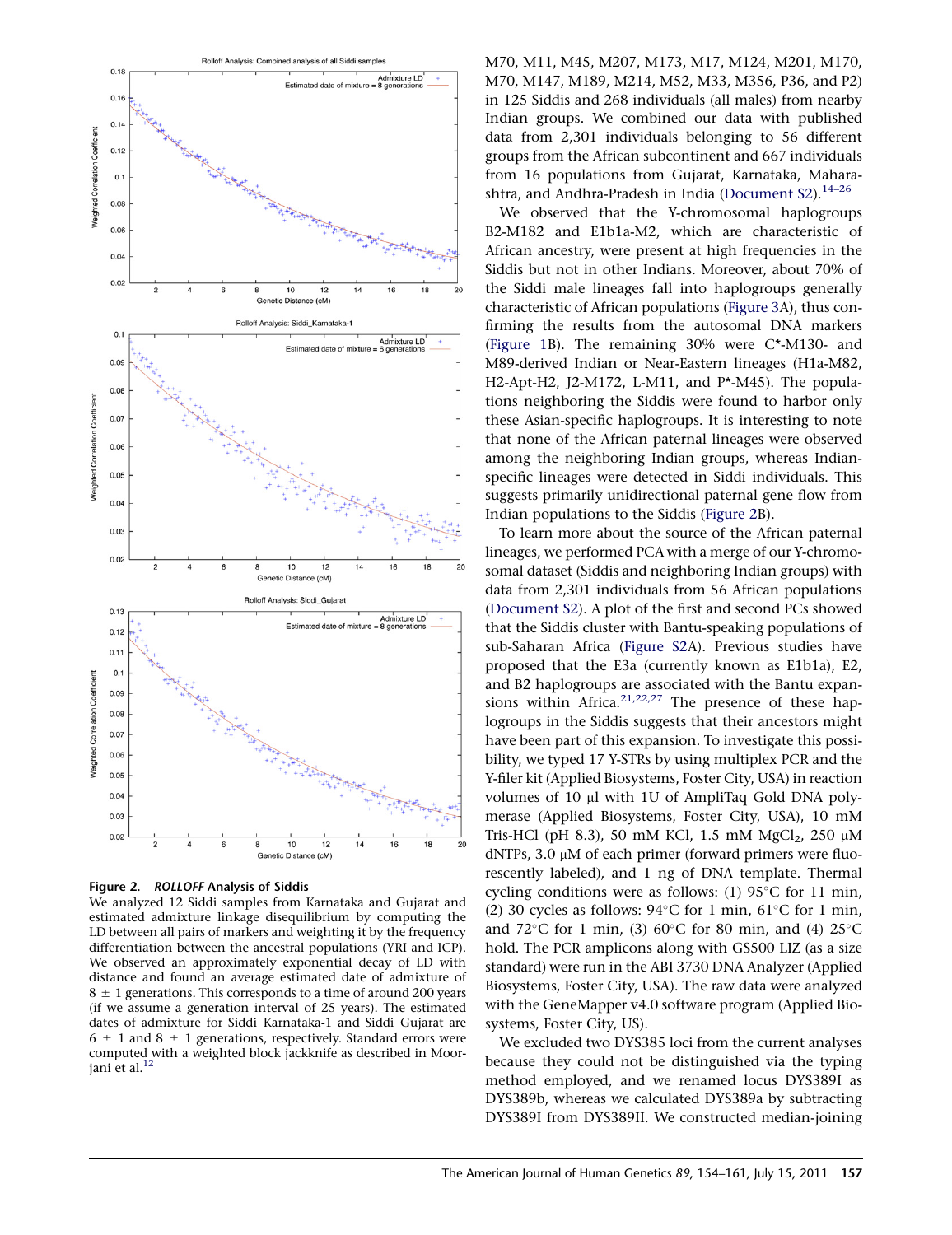

Figure 2. ROLLOFF Analysis of Siddis

We analyzed 12 Siddi samples from Karnataka and Gujarat and estimated admixture linkage disequilibrium by computing the LD between all pairs of markers and weighting it by the frequency differentiation between the ancestral populations (YRI and ICP). We observed an approximately exponential decay of LD with distance and found an average estimated date of admixture of  $8 \pm 1$  generations. This corresponds to a time of around 200 years (if we assume a generation interval of 25 years). The estimated dates of admixture for Siddi\_Karnataka-1 and Siddi\_Gujarat are  $6 \pm 1$  and  $8 \pm 1$  generations, respectively. Standard errors were computed with a weighted block jackknife as described in Moorjani et al. $^{\rm 12}$ 

M70, M11, M45, M207, M173, M17, M124, M201, M170, M70, M147, M189, M214, M52, M33, M356, P36, and P2) in 125 Siddis and 268 individuals (all males) from nearby Indian groups. We combined our data with published data from 2,301 individuals belonging to 56 different groups from the African subcontinent and 667 individuals from 16 populations from Gujarat, Karnataka, Maharashtra, and Andhra-Pradesh in India (Document  $S2$ ).<sup>14–26</sup>

We observed that the Y-chromosomal haplogroups B2-M182 and E1b1a-M2, which are characteristic of African ancestry, were present at high frequencies in the Siddis but not in other Indians. Moreover, about 70% of the Siddi male lineages fall into haplogroups generally characteristic of African populations (Figure 3A), thus confirming the results from the autosomal DNA markers (Figure 1B). The remaining 30% were C\*-M130- and M89-derived Indian or Near-Eastern lineages (H1a-M82, H2-Apt-H2, J2-M172, L-M11, and P\*-M45). The populations neighboring the Siddis were found to harbor only these Asian-specific haplogroups. It is interesting to note that none of the African paternal lineages were observed among the neighboring Indian groups, whereas Indianspecific lineages were detected in Siddi individuals. This suggests primarily unidirectional paternal gene flow from Indian populations to the Siddis (Figure 2B).

To learn more about the source of the African paternal lineages, we performed PCA with a merge of our Y-chromosomal dataset (Siddis and neighboring Indian groups) with data from 2,301 individuals from 56 African populations (Document S2). A plot of the first and second PCs showed that the Siddis cluster with Bantu-speaking populations of sub-Saharan Africa (Figure S2A). Previous studies have proposed that the E3a (currently known as E1b1a), E2, and B2 haplogroups are associated with the Bantu expansions within Africa.<sup>21,22,27</sup> The presence of these haplogroups in the Siddis suggests that their ancestors might have been part of this expansion. To investigate this possibility, we typed 17 Y-STRs by using multiplex PCR and the Y-filer kit (Applied Biosystems, Foster City, USA) in reaction volumes of 10 µl with 1U of AmpliTaq Gold DNA polymerase (Applied Biosystems, Foster City, USA), 10 mM Tris-HCl (pH 8.3), 50 mM KCl, 1.5 mM MgCl<sub>2</sub>, 250  $\mu$ M dNTPs, 3.0  $\mu$ M of each primer (forward primers were fluorescently labeled), and 1 ng of DNA template. Thermal cycling conditions were as follows: (1)  $95^{\circ}$ C for 11 min, (2) 30 cycles as follows:  $94^{\circ}$ C for 1 min,  $61^{\circ}$ C for 1 min, and  $72^{\circ}$ C for 1 min, (3) 60 $^{\circ}$ C for 80 min, and (4) 25 $^{\circ}$ C hold. The PCR amplicons along with GS500 LIZ (as a size standard) were run in the ABI 3730 DNA Analyzer (Applied Biosystems, Foster City, USA). The raw data were analyzed with the GeneMapper v4.0 software program (Applied Biosystems, Foster City, US).

We excluded two DYS385 loci from the current analyses because they could not be distinguished via the typing method employed, and we renamed locus DYS389I as DYS389b, whereas we calculated DYS389a by subtracting DYS389I from DYS389II. We constructed median-joining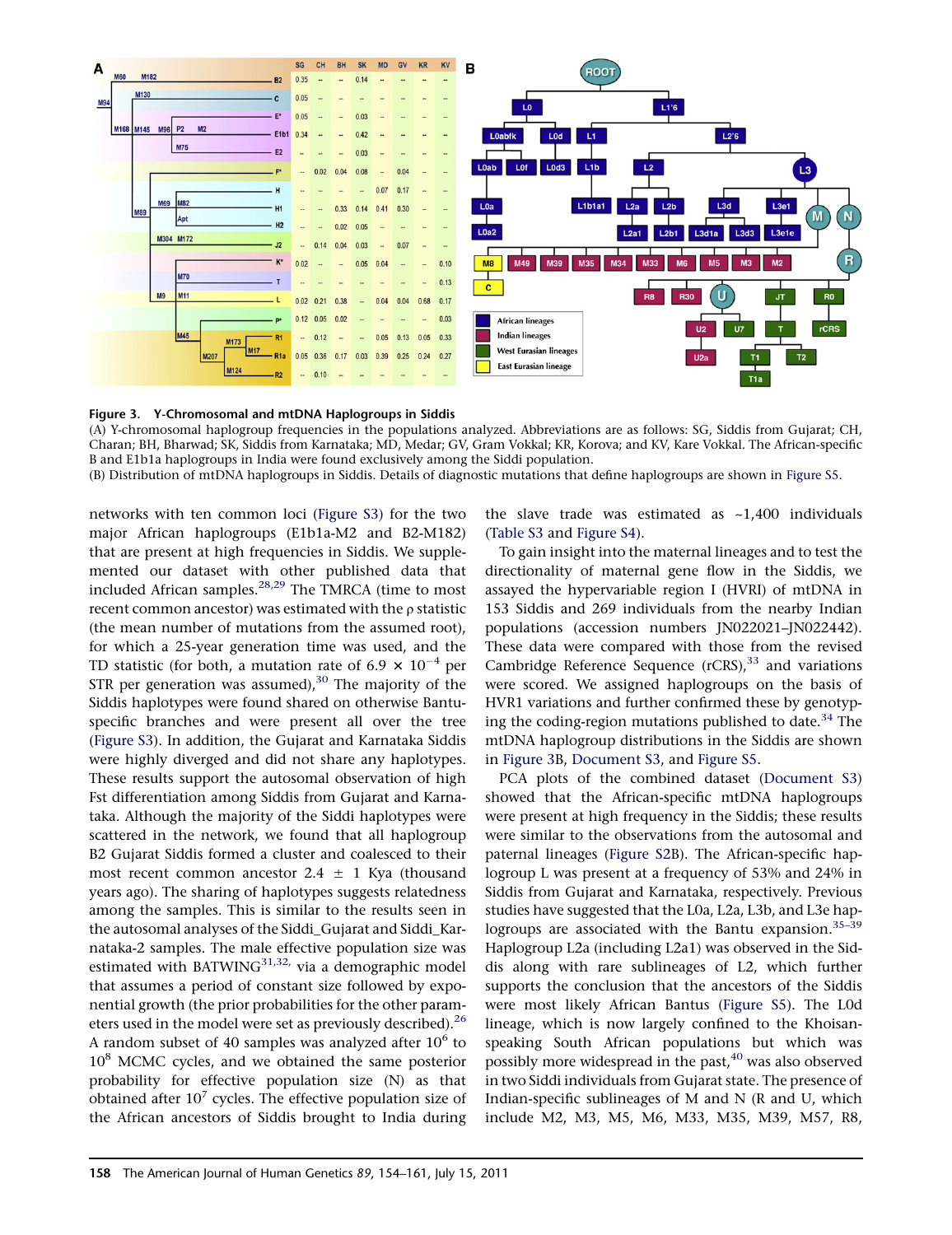



(A) Y-chromosomal haplogroup frequencies in the populations analyzed. Abbreviations are as follows: SG, Siddis from Gujarat; CH, Charan; BH, Bharwad; SK, Siddis from Karnataka; MD, Medar; GV, Gram Vokkal; KR, Korova; and KV, Kare Vokkal. The African-specific B and E1b1a haplogroups in India were found exclusively among the Siddi population. (B) Distribution of mtDNA haplogroups in Siddis. Details of diagnostic mutations that define haplogroups are shown in Figure S5.

networks with ten common loci (Figure S3) for the two major African haplogroups (E1b1a-M2 and B2-M182) that are present at high frequencies in Siddis. We supplemented our dataset with other published data that included African samples. $28,29$  The TMRCA (time to most recent common ancestor) was estimated with the  $\rho$  statistic (the mean number of mutations from the assumed root), for which a 25-year generation time was used, and the TD statistic (for both, a mutation rate of 6.9  $\times$  10<sup>-4</sup> per STR per generation was assumed), $30$  The majority of the Siddis haplotypes were found shared on otherwise Bantuspecific branches and were present all over the tree (Figure S3). In addition, the Gujarat and Karnataka Siddis were highly diverged and did not share any haplotypes. These results support the autosomal observation of high Fst differentiation among Siddis from Gujarat and Karnataka. Although the majority of the Siddi haplotypes were scattered in the network, we found that all haplogroup B2 Gujarat Siddis formed a cluster and coalesced to their most recent common ancestor  $2.4 \pm 1$  Kya (thousand years ago). The sharing of haplotypes suggests relatedness among the samples. This is similar to the results seen in the autosomal analyses of the Siddi\_Gujarat and Siddi\_Karnataka-2 samples. The male effective population size was estimated with BATWING $^{31,32}$ , via a demographic model that assumes a period of constant size followed by exponential growth (the prior probabilities for the other parameters used in the model were set as previously described).<sup>26</sup> A random subset of 40 samples was analyzed after  $10^6$  to  $10<sup>8</sup>$  MCMC cycles, and we obtained the same posterior probability for effective population size (N) as that obtained after  $10^7$  cycles. The effective population size of the African ancestors of Siddis brought to India during

the slave trade was estimated as  $~1,400$  individuals (Table S3 and Figure S4).

To gain insight into the maternal lineages and to test the directionality of maternal gene flow in the Siddis, we assayed the hypervariable region I (HVRI) of mtDNA in 153 Siddis and 269 individuals from the nearby Indian populations (accession numbers JN022021–JN022442). These data were compared with those from the revised Cambridge Reference Sequence  $(rCRS)$ ,  $^{33}$  and variations were scored. We assigned haplogroups on the basis of HVR1 variations and further confirmed these by genotyping the coding-region mutations published to date.<sup>34</sup> The mtDNA haplogroup distributions in the Siddis are shown in Figure 3B, Document S3, and Figure S5.

PCA plots of the combined dataset (Document S3) showed that the African-specific mtDNA haplogroups were present at high frequency in the Siddis; these results were similar to the observations from the autosomal and paternal lineages (Figure S2B). The African-specific haplogroup L was present at a frequency of 53% and 24% in Siddis from Gujarat and Karnataka, respectively. Previous studies have suggested that the L0a, L2a, L3b, and L3e haplogroups are associated with the Bantu expansion.<sup>35-39</sup> Haplogroup L2a (including L2a1) was observed in the Siddis along with rare sublineages of L2, which further supports the conclusion that the ancestors of the Siddis were most likely African Bantus (Figure S5). The L0d lineage, which is now largely confined to the Khoisanspeaking South African populations but which was possibly more widespread in the past, $40$  was also observed in two Siddi individuals from Gujarat state. The presence of Indian-specific sublineages of M and N (R and U, which include M2, M3, M5, M6, M33, M35, M39, M57, R8,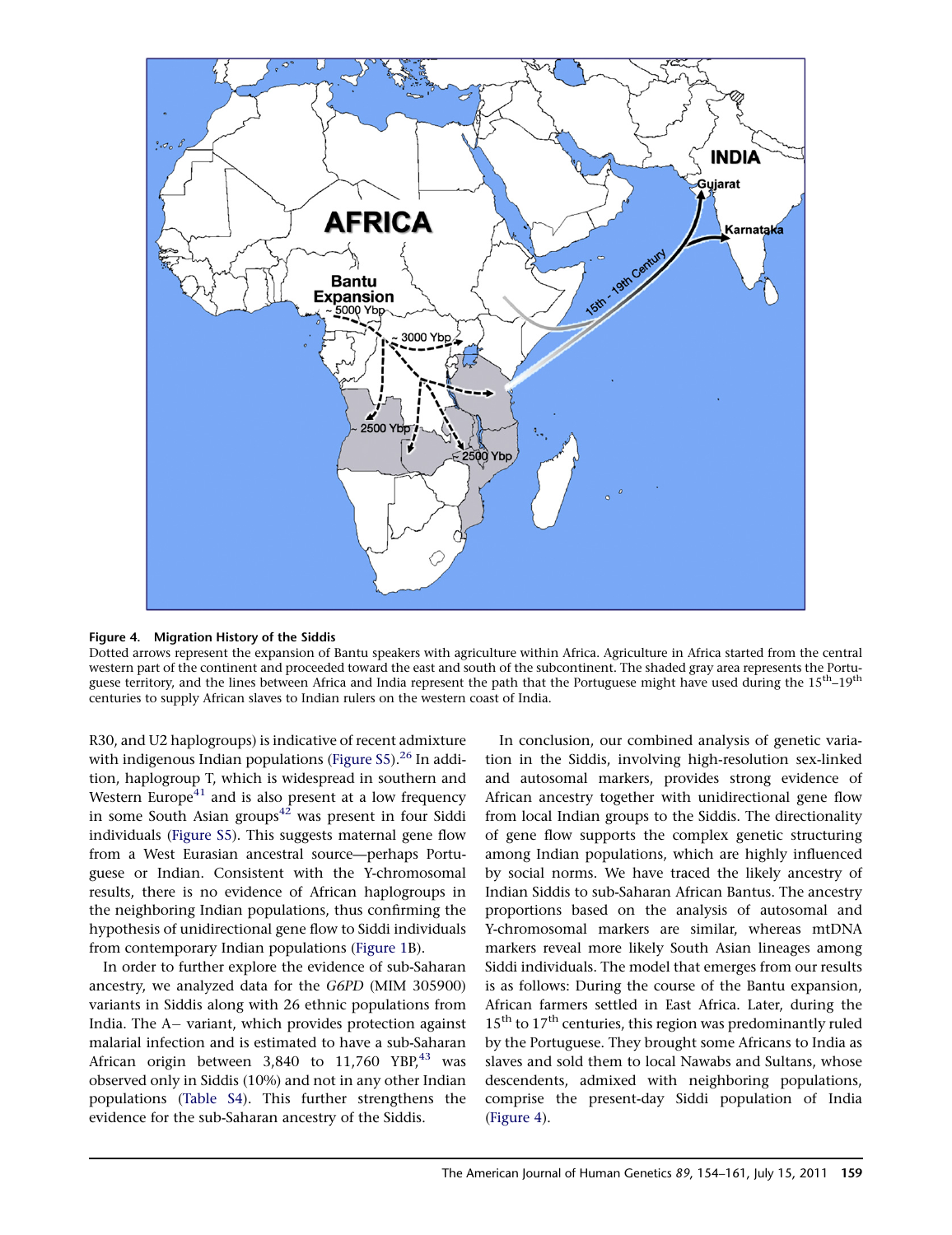

#### Figure 4. Migration History of the Siddis

Dotted arrows represent the expansion of Bantu speakers with agriculture within Africa. Agriculture in Africa started from the central western part of the continent and proceeded toward the east and south of the subcontinent. The shaded gray area represents the Portuguese territory, and the lines between Africa and India represent the path that the Portuguese might have used during the 15<sup>th</sup>-19<sup>th</sup> centuries to supply African slaves to Indian rulers on the western coast of India.

R30, and U2 haplogroups) is indicative of recent admixture with indigenous Indian populations (Figure S5). $^{26}$  In addition, haplogroup T, which is widespread in southern and Western Europe $41$  and is also present at a low frequency in some South Asian groups<sup>42</sup> was present in four Siddi individuals (Figure S5). This suggests maternal gene flow from a West Eurasian ancestral source—perhaps Portuguese or Indian. Consistent with the Y-chromosomal results, there is no evidence of African haplogroups in the neighboring Indian populations, thus confirming the hypothesis of unidirectional gene flow to Siddi individuals from contemporary Indian populations (Figure 1B).

In order to further explore the evidence of sub-Saharan ancestry, we analyzed data for the G6PD (MIM 305900) variants in Siddis along with 26 ethnic populations from India. The A- variant, which provides protection against malarial infection and is estimated to have a sub-Saharan African origin between  $3,840$  to  $11,760$  YBP,<sup>43</sup> was observed only in Siddis (10%) and not in any other Indian populations (Table S4). This further strengthens the evidence for the sub-Saharan ancestry of the Siddis.

In conclusion, our combined analysis of genetic variation in the Siddis, involving high-resolution sex-linked and autosomal markers, provides strong evidence of African ancestry together with unidirectional gene flow from local Indian groups to the Siddis. The directionality of gene flow supports the complex genetic structuring among Indian populations, which are highly influenced by social norms. We have traced the likely ancestry of Indian Siddis to sub-Saharan African Bantus. The ancestry proportions based on the analysis of autosomal and Y-chromosomal markers are similar, whereas mtDNA markers reveal more likely South Asian lineages among Siddi individuals. The model that emerges from our results is as follows: During the course of the Bantu expansion, African farmers settled in East Africa. Later, during the 15<sup>th</sup> to 17<sup>th</sup> centuries, this region was predominantly ruled by the Portuguese. They brought some Africans to India as slaves and sold them to local Nawabs and Sultans, whose descendents, admixed with neighboring populations, comprise the present-day Siddi population of India (Figure 4).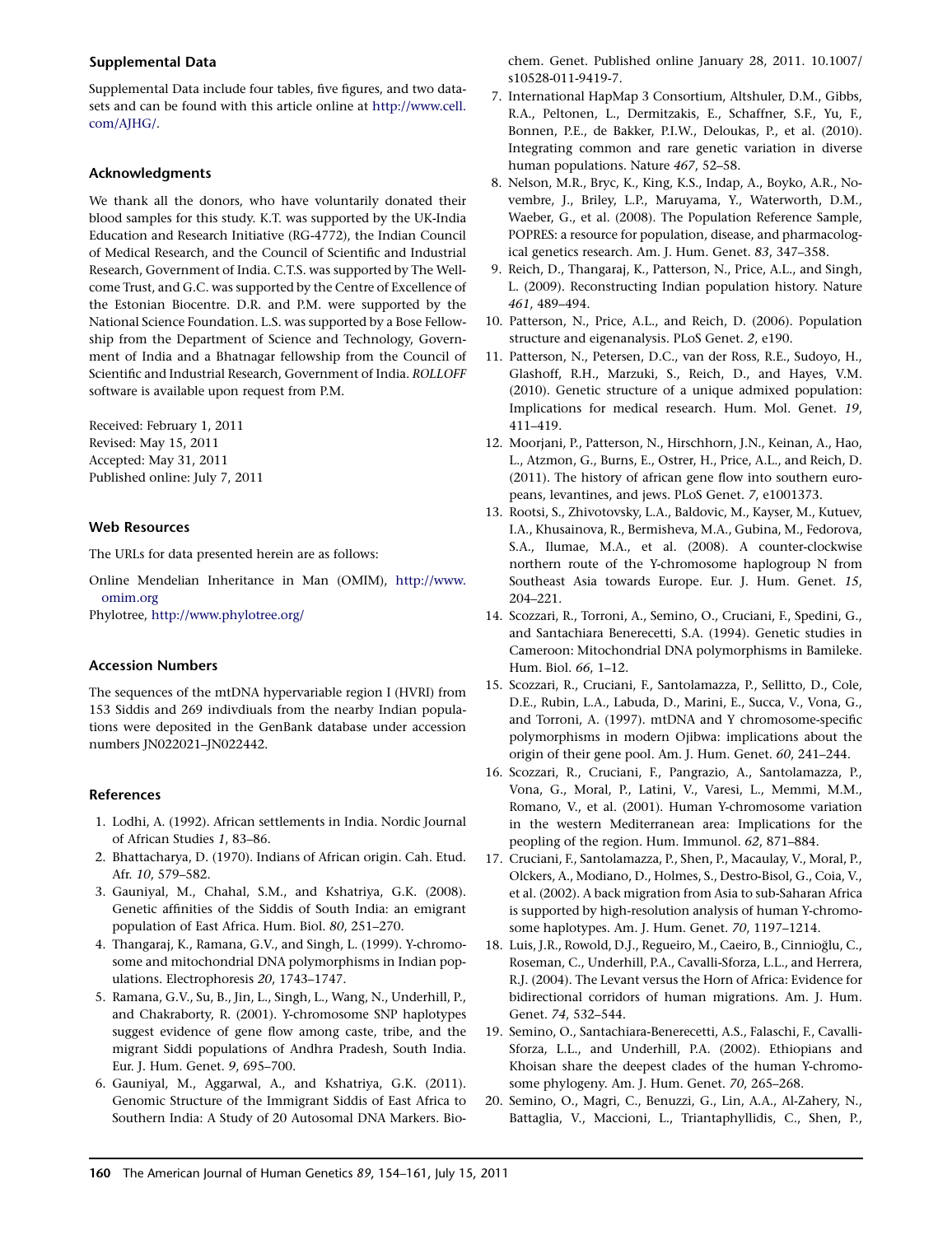# Supplemental Data

Supplemental Data include four tables, five figures, and two datasets and can be found with this article online at http://www.cell. com/AJHG/.

## Acknowledgments

We thank all the donors, who have voluntarily donated their blood samples for this study. K.T. was supported by the UK-India Education and Research Initiative (RG-4772), the Indian Council of Medical Research, and the Council of Scientific and Industrial Research, Government of India. C.T.S. was supported by The Wellcome Trust, and G.C. was supported by the Centre of Excellence of the Estonian Biocentre. D.R. and P.M. were supported by the National Science Foundation. L.S. was supported by a Bose Fellowship from the Department of Science and Technology, Government of India and a Bhatnagar fellowship from the Council of Scientific and Industrial Research, Government of India. ROLLOFF software is available upon request from P.M.

Received: February 1, 2011 Revised: May 15, 2011 Accepted: May 31, 2011 Published online: July 7, 2011

## Web Resources

The URLs for data presented herein are as follows:

Online Mendelian Inheritance in Man (OMIM), http://www. omim.org

Phylotree, http://www.phylotree.org/

#### Accession Numbers

The sequences of the mtDNA hypervariable region I (HVRI) from 153 Siddis and 269 indivdiuals from the nearby Indian populations were deposited in the GenBank database under accession numbers JN022021–JN022442.

#### References

- 1. Lodhi, A. (1992). African settlements in India. Nordic Journal of African Studies 1, 83–86.
- 2. Bhattacharya, D. (1970). Indians of African origin. Cah. Etud. Afr. 10, 579–582.
- 3. Gauniyal, M., Chahal, S.M., and Kshatriya, G.K. (2008). Genetic affinities of the Siddis of South India: an emigrant population of East Africa. Hum. Biol. 80, 251–270.
- 4. Thangaraj, K., Ramana, G.V., and Singh, L. (1999). Y-chromosome and mitochondrial DNA polymorphisms in Indian populations. Electrophoresis 20, 1743–1747.
- 5. Ramana, G.V., Su, B., Jin, L., Singh, L., Wang, N., Underhill, P., and Chakraborty, R. (2001). Y-chromosome SNP haplotypes suggest evidence of gene flow among caste, tribe, and the migrant Siddi populations of Andhra Pradesh, South India. Eur. J. Hum. Genet. 9, 695–700.
- 6. Gauniyal, M., Aggarwal, A., and Kshatriya, G.K. (2011). Genomic Structure of the Immigrant Siddis of East Africa to Southern India: A Study of 20 Autosomal DNA Markers. Bio-

chem. Genet. Published online January 28, 2011. 10.1007/ s10528-011-9419-7.

- 7. International HapMap 3 Consortium, Altshuler, D.M., Gibbs, R.A., Peltonen, L., Dermitzakis, E., Schaffner, S.F., Yu, F., Bonnen, P.E., de Bakker, P.I.W., Deloukas, P., et al. (2010). Integrating common and rare genetic variation in diverse human populations. Nature 467, 52–58.
- 8. Nelson, M.R., Bryc, K., King, K.S., Indap, A., Boyko, A.R., Novembre, J., Briley, L.P., Maruyama, Y., Waterworth, D.M., Waeber, G., et al. (2008). The Population Reference Sample, POPRES: a resource for population, disease, and pharmacological genetics research. Am. J. Hum. Genet. 83, 347–358.
- 9. Reich, D., Thangaraj, K., Patterson, N., Price, A.L., and Singh, L. (2009). Reconstructing Indian population history. Nature 461, 489–494.
- 10. Patterson, N., Price, A.L., and Reich, D. (2006). Population structure and eigenanalysis. PLoS Genet. 2, e190.
- 11. Patterson, N., Petersen, D.C., van der Ross, R.E., Sudoyo, H., Glashoff, R.H., Marzuki, S., Reich, D., and Hayes, V.M. (2010). Genetic structure of a unique admixed population: Implications for medical research. Hum. Mol. Genet. 19, 411–419.
- 12. Moorjani, P., Patterson, N., Hirschhorn, J.N., Keinan, A., Hao, L., Atzmon, G., Burns, E., Ostrer, H., Price, A.L., and Reich, D. (2011). The history of african gene flow into southern europeans, levantines, and jews. PLoS Genet. 7, e1001373.
- 13. Rootsi, S., Zhivotovsky, L.A., Baldovic, M., Kayser, M., Kutuev, I.A., Khusainova, R., Bermisheva, M.A., Gubina, M., Fedorova, S.A., Ilumae, M.A., et al. (2008). A counter-clockwise northern route of the Y-chromosome haplogroup N from Southeast Asia towards Europe. Eur. J. Hum. Genet. 15, 204–221.
- 14. Scozzari, R., Torroni, A., Semino, O., Cruciani, F., Spedini, G., and Santachiara Benerecetti, S.A. (1994). Genetic studies in Cameroon: Mitochondrial DNA polymorphisms in Bamileke. Hum. Biol. 66, 1–12.
- 15. Scozzari, R., Cruciani, F., Santolamazza, P., Sellitto, D., Cole, D.E., Rubin, L.A., Labuda, D., Marini, E., Succa, V., Vona, G., and Torroni, A. (1997). mtDNA and Y chromosome-specific polymorphisms in modern Ojibwa: implications about the origin of their gene pool. Am. J. Hum. Genet. 60, 241–244.
- 16. Scozzari, R., Cruciani, F., Pangrazio, A., Santolamazza, P., Vona, G., Moral, P., Latini, V., Varesi, L., Memmi, M.M., Romano, V., et al. (2001). Human Y-chromosome variation in the western Mediterranean area: Implications for the peopling of the region. Hum. Immunol. 62, 871–884.
- 17. Cruciani, F., Santolamazza, P., Shen, P., Macaulay, V., Moral, P., Olckers, A., Modiano, D., Holmes, S., Destro-Bisol, G., Coia, V., et al. (2002). A back migration from Asia to sub-Saharan Africa is supported by high-resolution analysis of human Y-chromosome haplotypes. Am. J. Hum. Genet. 70, 1197–1214.
- 18. Luis, J.R., Rowold, D.J., Regueiro, M., Caeiro, B., Cinnioglu, C., Roseman, C., Underhill, P.A., Cavalli-Sforza, L.L., and Herrera, R.J. (2004). The Levant versus the Horn of Africa: Evidence for bidirectional corridors of human migrations. Am. J. Hum. Genet. 74, 532–544.
- 19. Semino, O., Santachiara-Benerecetti, A.S., Falaschi, F., Cavalli-Sforza, L.L., and Underhill, P.A. (2002). Ethiopians and Khoisan share the deepest clades of the human Y-chromosome phylogeny. Am. J. Hum. Genet. 70, 265–268.
- 20. Semino, O., Magri, C., Benuzzi, G., Lin, A.A., Al-Zahery, N., Battaglia, V., Maccioni, L., Triantaphyllidis, C., Shen, P.,